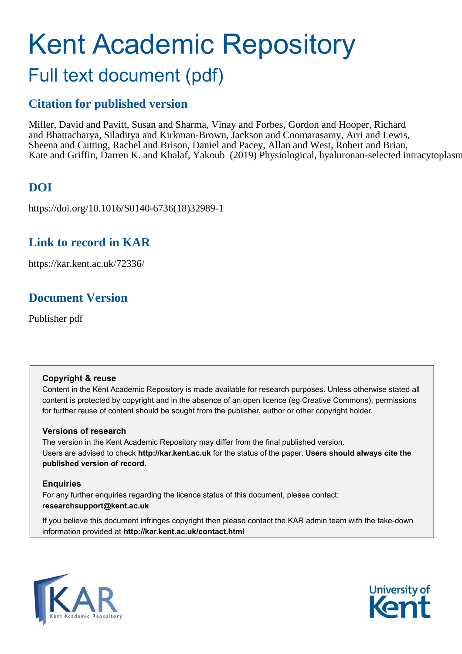# Kent Academic Repository Full text document (pdf)

### **Citation for published version**

Miller, David and Pavitt, Susan and Sharma, Vinay and Forbes, Gordon and Hooper, Richard and Bhattacharya, Siladitya and Kirkman-Brown, Jackson and Coomarasamy, Arri and Lewis, Sheena and Cutting, Rachel and Brison, Daniel and Pacey, Allan and West, Robert and Brian, Kate and Griffin, Darren K. and Khalaf, Yakoub (2019) Physiological, hyaluronan-selected intracytoplasm

### **DOI**

https://doi.org/10.1016/S0140-6736(18)32989-1

### **Link to record in KAR**

https://kar.kent.ac.uk/72336/

### **Document Version**

Publisher pdf

### **Copyright & reuse**

Content in the Kent Academic Repository is made available for research purposes. Unless otherwise stated all content is protected by copyright and in the absence of an open licence (eg Creative Commons), permissions for further reuse of content should be sought from the publisher, author or other copyright holder.

### **Versions of research**

The version in the Kent Academic Repository may differ from the final published version. Users are advised to check **http://kar.kent.ac.uk** for the status of the paper. **Users should always cite the published version of record.**

### **Enquiries**

For any further enquiries regarding the licence status of this document, please contact: **researchsupport@kent.ac.uk**

If you believe this document infringes copyright then please contact the KAR admin team with the take-down information provided at **http://kar.kent.ac.uk/contact.html**



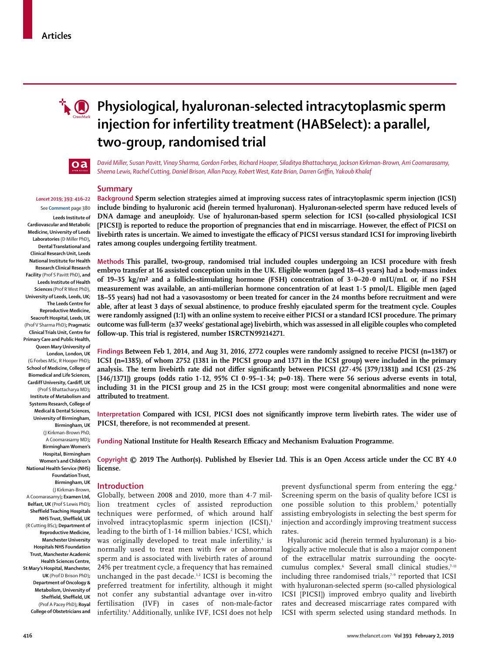

## **Physiological, hyaluronan-selected intracytoplasmic sperm injection for infertility treatment (HABSelect): a parallel, two-group, randomised trial**



*David Miller, Susan Pavitt, Vinay Sharma, Gordon Forbes, Richard Hooper, Siladitya Bhattacharya, Jackson Kirkman-Brown, Arri Coomarasamy, Sheena Lewis, Rachel Cutting, Daniel Brison, Allan Pacey, Robert West, Kate Brian, Darren Griffin, Yakoub Khalaf*

#### **Summary**

### *Lancet* **2019; 393: 416–22**

**Leeds Institute of Cardiovascular and Metabolic Medicine, University of Leeds Laboratories** (D Miller PhD)**, Dental Translational and Clinical Research Unit, Leeds National Institute for Health Research Clinical Research Facility** (Prof S Pavitt PhD)**, and Leeds Institute of Health Sciences** (Prof R West PhD), **University of Leeds, Leeds, UK; The Leeds Centre for Reproductive Medicine, Seacroft Hospital, Leeds, UK**  (Prof V Sharma PhD)**; Pragmatic Clinical Trials Unit, Centre for Primary Care and Public Health, Queen Mary University of London, London, UK**  (G Forbes MSc, R Hooper PhD)**; School of Medicine, College of Biomedical and Life Sciences, Cardiff University, Cardiff, UK** (Prof S Bhattacharya MD)**; Institute of Metabolism and Systems Research, College of Medical & Dental Sciences, University of Birmingham, Birmingham, UK**  (J Kirkman-Brown PhD, A Coomarasamy MD)**; Birmingham Women's Hospital, Birmingham Women's and Children's National Health Service (NHS) Foundation Trust, Birmingham, UK**  (J Kirkman-Brown, A Coomarasamy)**; Examen Ltd, Belfast, UK** (Prof S Lewis PhD)**; Sheffield Teaching Hospitals NHS Trust, Sheffield, UK**  (R Cutting BSc)**; Department of Reproductive Medicine, Manchester University Hospitals NHS Foundation Trust, Manchester Academic Health Sciences Centre,** 

**St Mary's Hospital, Manchester, UK** (Prof D Brison PhD)**; Department of Oncology & Metabolism, University of Sheffield, Sheffield, UK**  (Prof A Pacey PhD)**; Royal College of Obstetricians and** 

See **Comment** page 380

**Background Sperm selection strategies aimed at improving success rates of intracytoplasmic sperm injection (ICSI) include binding to hyaluronic acid (herein termed hyaluronan). Hyaluronan-selected sperm have reduced levels of DNA damage and aneuploidy. Use of hyaluronan-based sperm selection for ICSI (so-called physiological ICSI [PICSI]) is reported to reduce the proportion of pregnancies that end in miscarriage. However, the efect of PICSI on**  livebirth rates is uncertain. We aimed to investigate the efficacy of PICSI versus standard ICSI for improving livebirth **rates among couples undergoing fertility treatment.**

**Methods This parallel, two-group, randomised trial included couples undergoing an ICSI procedure with fresh embryo transfer at 16 assisted conception units in the UK. Eligible women (aged 18–43 years) had a body-mass index of 19–35 kg/m² and a follicle-stimulating hormone (FSH) concentration of 3·0–20·0 mIU/mL or, if no FSH measurement was available, an anti-müllerian hormone concentration of at least 1·5 pmol/L. Eligible men (aged 18–55 years) had not had a vasovasostomy or been treated for cancer in the 24 months before recruitment and were able, after at least 3 days of sexual abstinence, to produce freshly ejaculated sperm for the treatment cycle. Couples were randomly assigned (1:1) with an online system to receive either PICSI or a standard ICSI procedure. The primary outcome was full-term (≥37 weeks' gestational age) livebirth, which was assessed in all eligible couples who completed follow-up. This trial is registered, number ISRCTN99214271.**

**Findings Between Feb 1, 2014, and Aug 31, 2016, 2772 couples were randomly assigned to receive PICSI (n=1387) or ICSI (n=1385), of whom 2752 (1381 in the PICSI group and 1371 in the ICSI group) were included in the primary analysis. The term livebirth rate did not difer signiicantly between PICSI (27·4% [379/1381]) and ICSI (25·2% [346/1371]) groups (odds ratio 1·12, 95% CI 0·95–1·34; p=0·18). There were 56 serious adverse events in total, including 31 in the PICSI group and 25 in the ICSI group; most were congenital abnormalities and none were attributed to treatment.**

**Interpretation Compared with ICSI, PICSI does not signiicantly improve term livebirth rates. The wider use of PICSI, therefore, is not recommended at present.**

**Funding National Institute for Health Research Eicacy and Mechanism Evaluation Programme.**

**Copyright © 2019 The Author(s). Published by Elsevier Ltd. This is an Open Access article under the CC BY 4.0 license.**

#### **Introduction**

Globally, between 2008 and 2010, more than 4·7 million treatment cycles of assisted reproduction techniques were performed, of which around half involved intracytoplasmic sperm injection  $(ICSI)^1$ leading to the birth of 1 $\cdot$ 14 million babies. $^{\text{2}}$  ICSI, which was originally developed to treat male infertility,<sup>3</sup> is normally used to treat men with few or abnormal sperm and is associated with livebirth rates of around 24% per treatment cycle, a frequency that has remained unchanged in the past decade.<sup>1,2</sup> ICSI is becoming the preferred treatment for infertility, although it might not confer any substantial advantage over in-vitro fertilisation (IVF) in cases of non-male-factor infertility.<sup>1</sup> Additionally, unlike IVF, ICSI does not help prevent dysfunctional sperm from entering the egg.<sup>4</sup> Screening sperm on the basis of quality before ICSI is one possible solution to this problem,<sup>5</sup> potentially assisting embryologists in selecting the best sperm for injection and accordingly improving treatment success rates.

Hyaluronic acid (herein termed hyaluronan) is a biologically active molecule that is also a major component of the extracellular matrix surrounding the oocytecumulus complex.<sup>6</sup> Several small clinical studies,<sup>7-11</sup> including three randomised trials,<sup>7-9</sup> reported that ICSI with hyaluronan-selected sperm (so-called physiological ICSI [PICSI]) improved embryo quality and livebirth rates and decreased miscarriage rates compared with ICSI with sperm selected using standard methods. In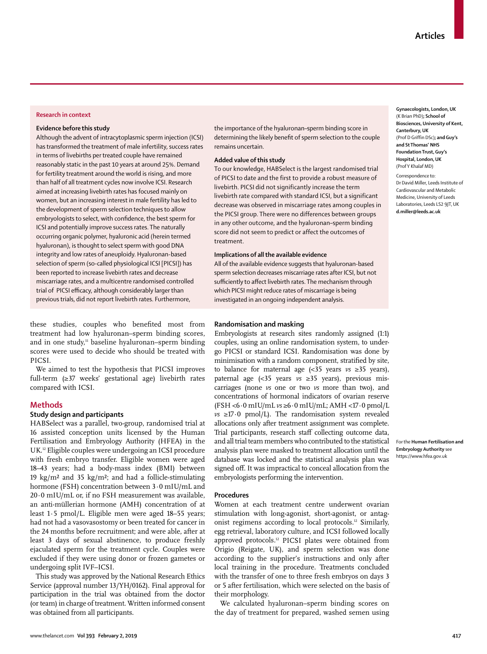#### **Research in context**

#### **Evidence before this study**

Although the advent of intracytoplasmic sperm injection (ICSI) has transformed the treatment of male infertility, success rates in terms of livebirths per treated couple have remained reasonably static in the past 10 years at around 25%. Demand for fertility treatment around the world is rising, and more than half of all treatment cycles now involve ICSI. Research aimed at increasing livebirth rates has focused mainly on women, but an increasing interest in male fertility has led to the development of sperm selection techniques to allow embryologists to select, with confidence, the best sperm for ICSI and potentially improve success rates. The naturally occurring organic polymer, hyaluronic acid (herein termed hyaluronan), is thought to select sperm with good DNA integrity and low rates of aneuploidy. Hyaluronan-based selection of sperm (so-called physiological ICSI [PICSI]) has been reported to increase livebirth rates and decrease miscarriage rates, and a multicentre randomised controlled trial of PICSI efficacy, although considerably larger than previous trials, did not report livebirth rates. Furthermore,

these studies, couples who benefited most from treatment had low hyaluronan–sperm binding scores, and in one study, $n_{\text{u}}$  baseline hyaluronan–sperm binding scores were used to decide who should be treated with PICSI.

We aimed to test the hypothesis that PICSI improves full-term  $(\geq 37$  weeks' gestational age) livebirth rates compared with ICSI.

#### **Methods**

#### **Study design and participants**

HABSelect was a parallel, two-group, randomised trial at 16 assisted conception units licensed by the Human Fertilisation and Embryology Authority [\(HFEA\)](https://www.hfea.gov.uk) in the UK.12 Eligible couples were undergoing an ICSI procedure with fresh embryo transfer. Eligible women were aged 18–43 years; had a bodymass index (BMI) between 19 kg/m<sup>2</sup> and 35 kg/m<sup>2</sup>; and had a follicle-stimulating hormone (FSH) concentration between 3·0 mIU/mL and  $20.0$  mIU/mL or, if no FSH measurement was available, an anti-müllerian hormone (AMH) concentration of at least 1·5 pmol/L. Eligible men were aged 18–55 years; had not had a vasovasostomy or been treated for cancer in the 24 months before recruitment; and were able, after at least 3 days of sexual abstinence, to produce freshly ejaculated sperm for the treatment cycle. Couples were excluded if they were using donor or frozen gametes or undergoing split IVF–ICSI.

This study was approved by the National Research Ethics Service (approval number 13/YH/0162). Final approval for participation in the trial was obtained from the doctor (or team) in charge of treatment. Written informed consent was obtained from all participants.

the importance of the hyaluronan–sperm binding score in determining the likely benefit of sperm selection to the couple remains uncertain.

#### **Added value of this study**

To our knowledge, HABSelect is the largest randomised trial of PICSI to date and the first to provide a robust measure of livebirth. PICSI did not significantly increase the term livebirth rate compared with standard ICSI, but a significant decrease was observed in miscarriage rates among couples in the PICSI group. There were no differences between groups in any other outcome, and the hyaluronan–sperm binding score did not seem to predict or affect the outcomes of treatment.

#### **Implications of all the available evidence**

All of the available evidence suggests that hyaluronan-based sperm selection decreases miscarriage rates after ICSI, but not sufficiently to affect livebirth rates. The mechanism through which PICSI might reduce rates of miscarriage is being investigated in an ongoing independent analysis.

#### **Randomisation and masking**

Embryologists at research sites randomly assigned (1:1) couples, using an online randomisation system, to undergo PICSI or standard ICSI. Randomisation was done by minimisation with a random component, stratified by site, to balance for maternal age (<35 years *vs* ≥35 years), paternal age (<35 years *vs* ≥35 years), previous mis carriages (none *vs* one or two *vs* more than two), and concentrations of hormonal indicators of ovarian reserve (FSH <6·0 mIU/mL *vs* ≥6·0 mIU/mL; AMH <17·0 pmol/L *vs* ≥17·0 pmol/L). The randomisation system revealed allocations only after treatment assignment was complete. Trial participants, research staff collecting outcome data, and all trial team members who contributed to the statistical analysis plan were masked to treatment allocation until the database was locked and the statistical analysis plan was signed off. It was impractical to conceal allocation from the embryologists performing the intervention.

#### **Procedures**

Women at each treatment centre underwent ovarian stimulation with long-agonist, short-agonist, or antagonist regimens according to local protocols.12 Similarly, egg retrieval, laboratory culture, and ICSI followed locally approved protocols.<sup>12</sup> PICSI plates were obtained from Origio (Reigate, UK), and sperm selection was done according to the supplier's instructions and only after local training in the procedure. Treatments concluded with the transfer of one to three fresh embryos on days 3 or 5 after fertilisation, which were selected on the basis of their morphology.

We calculated hyaluronan–sperm binding scores on the day of treatment for prepared, washed semen using **Gynaecologists, London, UK**  (K Brian PhD)**; School of Biosciences, University of Kent, Canterbury, UK** (Prof D Griffin DSc)**; and Guy's and St Thomas' NHS Foundation Trust, Guy's Hospital, London, UK**  (Prof Y Khalaf MD) Correspondence to:

Dr David Miller, Leeds Institute of Cardiovascular and Metabolic Medicine, University of Leeds Laboratories, Leeds LS2 9JT, UK **d.miller@leeds.ac.uk**

For the **Human Fertilisation and Embryology Authority** see <https://www.hfea.gov.uk>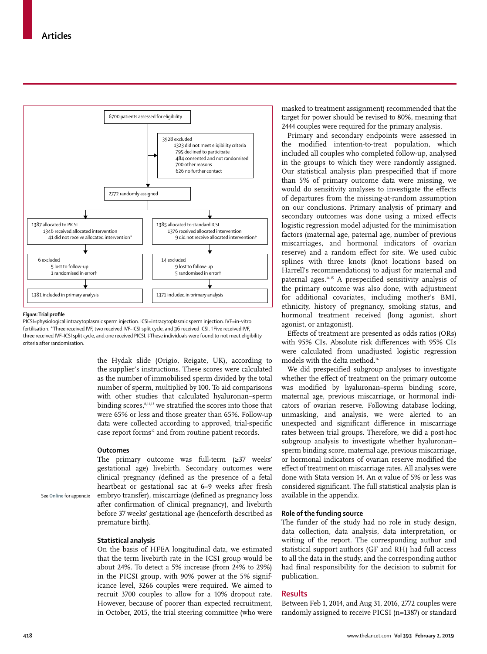

#### *Figure:* **Trial profile**

PICSI=physiological intracytoplasmic sperm injection. ICSI=intracytoplasmic sperm injection. IVF=in-vitro fertilisation. \*Three received IVF, two received IVF–ICSI split cycle, and 36 received ICSI. †Five received IVF, three received IVF–ICSI split cycle, and one received PICSI. ‡These individuals were found to not meet eligibility criteria after randomisation.

> the Hydak slide (Origio, Reigate, UK), according to the supplier's instructions. These scores were calculated as the number of immobilised sperm divided by the total number of sperm, multiplied by 100. To aid comparisons with other studies that calculated hyaluronan–sperm binding scores, $8,11,13$  we stratified the scores into those that were 65% or less and those greater than 65%. Followup data were collected according to approved, trial-specific case report forms<sup>12</sup> and from routine patient records.

#### **Outcomes**

The primary outcome was full-term  $(\geq 37$  weeks' gestational age) livebirth. Secondary outcomes were clinical pregnancy (defined as the presence of a fetal heartbeat or gestational sac at 6–9 weeks after fresh embryo transfer), miscarriage (defined as pregnancy loss after confirmation of clinical pregnancy), and livebirth before 37 weeks' gestational age (henceforth described as premature birth).

See **Online** for appendix

#### **Statistical analysis**

On the basis of HFEA longitudinal data, we estimated that the term livebirth rate in the ICSI group would be about 24%. To detect a 5% increase (from 24% to 29%) in the PICSI group, with 90% power at the 5% significance level, 3266 couples were required. We aimed to recruit 3700 couples to allow for a 10% dropout rate. However, because of poorer than expected recruitment, in October, 2015, the trial steering committee (who were masked to treatment assignment) recommended that the target for power should be revised to 80%, meaning that 2444 couples were required for the primary analysis.

Primary and secondary endpoints were assessed in the modified intention-to-treat population, which included all couples who completed follow-up, analysed in the groups to which they were randomly assigned. Our statistical analysis plan prespecified that if more than 5% of primary outcome data were missing, we would do sensitivity analyses to investigate the efects of departures from the missing-at-random assumption on our conclusions. Primary analysis of primary and secondary outcomes was done using a mixed efects logistic regression model adjusted for the minimisation factors (maternal age, paternal age, number of previous miscarriages, and hormonal indicators of ovarian reserve) and a random efect for site. We used cubic splines with three knots (knot locations based on Harrell's recommendations) to adjust for maternal and paternal ages.<sup>14,15</sup> A prespecified sensitivity analysis of the primary outcome was also done, with adjustment for additional covariates, including mother's BMI, ethnicity, history of pregnancy, smoking status, and hormonal treatment received (long agonist, short agonist, or antagonist).

Efects of treatment are presented as odds ratios (ORs) with 95% CIs. Absolute risk diferences with 95% CIs were calculated from unadjusted logistic regression models with the delta method.<sup>16</sup>

We did prespecified subgroup analyses to investigate whether the effect of treatment on the primary outcome was modified by hyaluronan–sperm binding score, maternal age, previous miscarriage, or hormonal indicators of ovarian reserve. Following database locking, unmasking, and analysis, we were alerted to an unexpected and significant difference in miscarriage rates between trial groups. Therefore, we did a post-hoc subgroup analysis to investigate whether hyaluronan– sperm binding score, maternal age, previous miscarriage, or hormonal indicators of ovarian reserve modified the effect of treatment on miscarriage rates. All analyses were done with Stata version 14. An α value of 5% or less was considered significant. The full statistical analysis plan is available in the appendix.

#### **Role of the funding source**

The funder of the study had no role in study design, data collection, data analysis, data interpretation, or writing of the report. The corresponding author and statistical support authors (GF and RH) had full access to all the data in the study, and the corresponding author had final responsibility for the decision to submit for publication.

#### **Results**

Between Feb 1, 2014, and Aug 31, 2016, 2772 couples were randomly assigned to receive PICSI (n=1387) or standard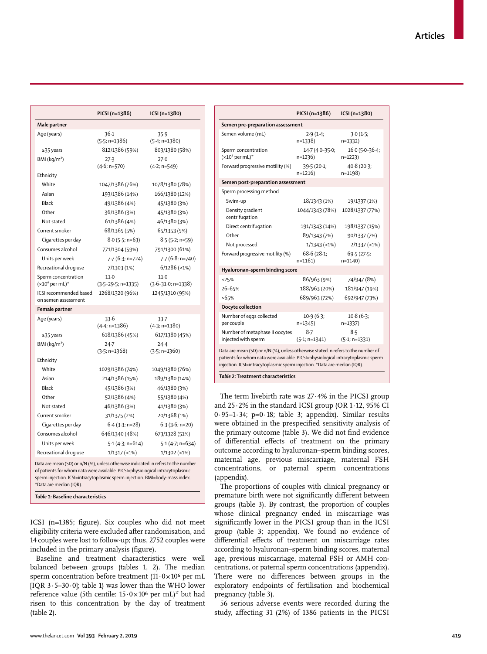|                                                                                                                                                                                                                                                                                | PICSI (n=1386)<br>ICSI (n=1380) |                             |  |  |  |
|--------------------------------------------------------------------------------------------------------------------------------------------------------------------------------------------------------------------------------------------------------------------------------|---------------------------------|-----------------------------|--|--|--|
| Male partner                                                                                                                                                                                                                                                                   |                                 |                             |  |  |  |
| Age (years)                                                                                                                                                                                                                                                                    | 36.1                            | 35.9                        |  |  |  |
|                                                                                                                                                                                                                                                                                | $(5.5; n=1386)$                 | $(5.4; n=1380)$             |  |  |  |
| ≥35 years                                                                                                                                                                                                                                                                      | 812/1386 (59%)                  | 803/1380 (58%)              |  |  |  |
| $BMl$ (kg/m <sup>2</sup> )                                                                                                                                                                                                                                                     | 27.3                            | 27.0                        |  |  |  |
|                                                                                                                                                                                                                                                                                | $(4.6; n=570)$                  | $(4.2; n=549)$              |  |  |  |
| Ethnicity                                                                                                                                                                                                                                                                      |                                 |                             |  |  |  |
| White                                                                                                                                                                                                                                                                          | 1047/1386 (76%)                 | 1078/1380 (78%)             |  |  |  |
| Asian                                                                                                                                                                                                                                                                          | 193/1386 (14%)                  | 166/1380 (12%)              |  |  |  |
| Black                                                                                                                                                                                                                                                                          | 49/1386 (4%)                    | 45/1380 (3%)                |  |  |  |
| Other                                                                                                                                                                                                                                                                          | 36/1386 (3%)                    | 45/1380 (3%)                |  |  |  |
| Not stated                                                                                                                                                                                                                                                                     | 61/1386 (4%)                    | 46/1380 (3%)                |  |  |  |
| Current smoker                                                                                                                                                                                                                                                                 | 68/1365 (5%)                    | 65/1353 (5%)                |  |  |  |
| Cigarettes per day                                                                                                                                                                                                                                                             | $8.0$ (5.5; n=63)               | $8.5(5.2; n=59)$            |  |  |  |
| Consumes alcohol                                                                                                                                                                                                                                                               | 771/1304 (59%)                  | 791/1300 (61%)              |  |  |  |
| Units per week                                                                                                                                                                                                                                                                 | $7.7(6.3; n=724)$               | $7.7(6.8; n=740)$           |  |  |  |
| Recreational drug use                                                                                                                                                                                                                                                          | 7/1303 (1%)                     | $6/1286$ (<1%)              |  |  |  |
| Sperm concentration                                                                                                                                                                                                                                                            | $11-0$                          | 11.0                        |  |  |  |
| $(x106$ per mL)*                                                                                                                                                                                                                                                               | $(3.5 - 29.5; n = 1335)$        | $(3.6 - 31.0; n = 1338)$    |  |  |  |
| ICSI recommended based                                                                                                                                                                                                                                                         | 1268/1320 (96%)                 | 1245/1310 (95%)             |  |  |  |
| on semen assessment                                                                                                                                                                                                                                                            |                                 |                             |  |  |  |
| Female partner                                                                                                                                                                                                                                                                 |                                 |                             |  |  |  |
| Age (years)                                                                                                                                                                                                                                                                    | 33.6                            | 33.7                        |  |  |  |
|                                                                                                                                                                                                                                                                                | (4·4; n=1386)                   | $(4.3; n=1380)$             |  |  |  |
| ≥35 years                                                                                                                                                                                                                                                                      | 618/1386 (45%)                  | 617/1380 (45%)              |  |  |  |
| BMl (kg/m <sup>2</sup> )                                                                                                                                                                                                                                                       | $24 - 7$<br>$(3.5; n=1368)$     | $24 - 4$<br>$(3.5; n=1360)$ |  |  |  |
| Ethnicity                                                                                                                                                                                                                                                                      |                                 |                             |  |  |  |
| White                                                                                                                                                                                                                                                                          | 1029/1386 (74%)                 | 1049/1380 (76%)             |  |  |  |
| Asian                                                                                                                                                                                                                                                                          | 214/1386 (15%)                  | 189/1380 (14%)              |  |  |  |
| Black                                                                                                                                                                                                                                                                          |                                 |                             |  |  |  |
|                                                                                                                                                                                                                                                                                | 45/1386 (3%)                    | 46/1380 (3%)                |  |  |  |
| Other                                                                                                                                                                                                                                                                          | 52/1386 (4%)                    | 55/1380 (4%)                |  |  |  |
| Not stated                                                                                                                                                                                                                                                                     | 46/1386 (3%)                    | 41/1380 (3%)                |  |  |  |
| Current smoker                                                                                                                                                                                                                                                                 | 31/1375 (2%)                    | 20/1368 (1%)                |  |  |  |
| Cigarettes per day                                                                                                                                                                                                                                                             | $6.4$ (3 $3$ ; n=28)            | $6.3(3.6; n=20)$            |  |  |  |
| Consumes alcohol                                                                                                                                                                                                                                                               | 646/1340 (48%)                  | 673/1328 (51%)              |  |  |  |
| Units per week                                                                                                                                                                                                                                                                 | $5.1(4.3; n=614)$               | $5.1(4.7; n=634)$           |  |  |  |
| Recreational drug use                                                                                                                                                                                                                                                          | $1/1317$ (<1%)                  | $1/1302$ (<1%)              |  |  |  |
| Data are mean (SD) or n/N (%), unless otherwise indicated. n refers to the number<br>of patients for whom data were available. PICSI=physiological intracytoplasmic<br>sperm injection. ICSI=intracytoplasmic sperm injection. BMI=body-mass index.<br>*Data are median (IQR). |                                 |                             |  |  |  |

*Table 1:* **Baseline characteristics**

ICSI (n=1385; figure). Six couples who did not meet eligibility criteria were excluded after randomisation, and 14 couples were lost to followup; thus, 2752 couples were included in the primary analysis (figure).

Baseline and treatment characteristics were well balanced between groups (tables 1, 2). The median sperm concentration before treatment  $(11.0 \times 10^6$  per mL [IQR  $3.5-30.0$ ]; table 1) was lower than the WHO lower reference value (5th centile:  $15.0 \times 10^6$  per mL)<sup>17</sup> but had risen to this concentration by the day of treatment (table 2).

|                                                                                                                                                                                                                                                     | PICSI (n=1386)               | ICSI (n=1380)               |  |  |  |  |  |
|-----------------------------------------------------------------------------------------------------------------------------------------------------------------------------------------------------------------------------------------------------|------------------------------|-----------------------------|--|--|--|--|--|
| Semen pre-preparation assessment                                                                                                                                                                                                                    |                              |                             |  |  |  |  |  |
| Semen volume (mL)                                                                                                                                                                                                                                   | 2.9(1.4;<br>$n=1338$         | 3.0(1.5)<br>$n=1332$        |  |  |  |  |  |
| Sperm concentration<br>$(x10^6$ per mL)*                                                                                                                                                                                                            | $14.7(4.0-35.0)$<br>$n=1236$ | $16.0(5.0-36.4)$<br>n=1223) |  |  |  |  |  |
| Forward progressive motility (%)                                                                                                                                                                                                                    | 39.5(20.1)<br>$n=1216$       | 40.8 (20.3;<br>n=1198)      |  |  |  |  |  |
| Semen post-preparation assessment                                                                                                                                                                                                                   |                              |                             |  |  |  |  |  |
| Sperm processing method                                                                                                                                                                                                                             |                              |                             |  |  |  |  |  |
| Swim-up                                                                                                                                                                                                                                             | 18/1343 (1%)                 | 19/1337 (1%)                |  |  |  |  |  |
| Density gradient<br>centrifugation                                                                                                                                                                                                                  | 1044/1343 (78%)              | 1028/1337 (77%)             |  |  |  |  |  |
| Direct centrifugation                                                                                                                                                                                                                               | 191/1343 (14%)               | 198/1337 (15%)              |  |  |  |  |  |
| Other                                                                                                                                                                                                                                               | 89/1343 (7%)                 | 90/1337 (7%)                |  |  |  |  |  |
| Not processed                                                                                                                                                                                                                                       | $1/1343$ (<1%)               | $2/1337$ (<1%)              |  |  |  |  |  |
| Forward progressive motility (%)                                                                                                                                                                                                                    | 68.6(28.1)<br>$n=1161$       | 69.5(27.5;<br>$n=1140$      |  |  |  |  |  |
| Hyaluronan-sperm binding score                                                                                                                                                                                                                      |                              |                             |  |  |  |  |  |
| ≤25%                                                                                                                                                                                                                                                | 86/963 (9%)                  | 74/947 (8%)                 |  |  |  |  |  |
| 26-65%                                                                                                                                                                                                                                              | 188/963 (20%)                | 181/947 (19%)               |  |  |  |  |  |
| >65%                                                                                                                                                                                                                                                | 689/963 (72%)                | 692/947 (73%)               |  |  |  |  |  |
| Oocyte collection                                                                                                                                                                                                                                   |                              |                             |  |  |  |  |  |
| Number of eggs collected<br>per couple                                                                                                                                                                                                              | 10.9(6.3;<br>n=1345)         | 10.8(6.3)<br>n=1337)        |  |  |  |  |  |
| Number of metaphase II oocytes<br>injected with sperm                                                                                                                                                                                               | 8.7<br>$(5.1; n=1341)$       | $8 - 5$<br>$(5.1; n=1331)$  |  |  |  |  |  |
| Data are mean (SD) or n/N (%), unless otherwise stated. n refers to the number of<br>patients for whom data were available. PICSI=physiological intracytoplasmic sperm<br>injection. ICSI=intracytoplasmic sperm injection. *Data are median (IQR). |                              |                             |  |  |  |  |  |
| Table 2: Treatment characteristics                                                                                                                                                                                                                  |                              |                             |  |  |  |  |  |
|                                                                                                                                                                                                                                                     |                              |                             |  |  |  |  |  |

The term livebirth rate was 27·4% in the PICSI group and  $25.2\%$  in the standard ICSI group (OR  $1.12$ , 95% CI  $0.95-1.34$ ; p= $0.18$ ; table 3; appendix). Similar results were obtained in the prespecified sensitivity analysis of the primary outcome (table 3). We did not find evidence of diferential efects of treatment on the primary outcome according to hyaluronan–sperm binding scores, maternal age, previous miscarriage, maternal FSH concentrations, or paternal sperm concentrations (appendix).

The proportions of couples with clinical pregnancy or premature birth were not significantly different between groups (table 3). By contrast, the proportion of couples whose clinical pregnancy ended in miscarriage was significantly lower in the PICSI group than in the ICSI group (table 3; appendix). We found no evidence of diferential efects of treatment on miscarriage rates according to hyaluronan–sperm binding scores, maternal age, previous miscarriage, maternal FSH or AMH concentrations, or paternal sperm concentrations (appendix). There were no diferences between groups in the exploratory endpoints of fertilisation and biochemical pregnancy (table 3).

56 serious adverse events were recorded during the study, afecting 31 (2%) of 1386 patients in the PICSI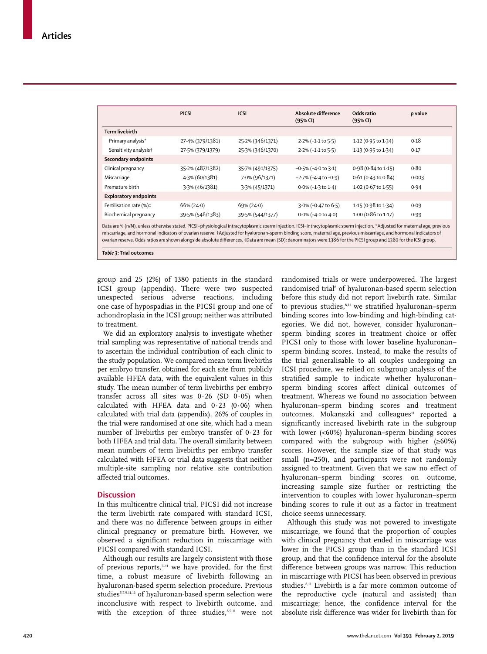|                                                                                                                                                                                                                                                                                                                                                       | <b>PICSI</b>     | <b>ICSI</b>      | Absolute difference<br>(95% CI) | Odds ratio<br>(95% CI)        | p value |  |  |
|-------------------------------------------------------------------------------------------------------------------------------------------------------------------------------------------------------------------------------------------------------------------------------------------------------------------------------------------------------|------------------|------------------|---------------------------------|-------------------------------|---------|--|--|
| Term livebirth                                                                                                                                                                                                                                                                                                                                        |                  |                  |                                 |                               |         |  |  |
| Primary analysis*                                                                                                                                                                                                                                                                                                                                     | 27.4% (379/1381) | 25.2% (346/1371) | $2.2\%$ (-1.1 to 5.5)           | 1.12 (0.95 to 1.34)           | 0.18    |  |  |
| Sensitivity analysis <sup>+</sup>                                                                                                                                                                                                                                                                                                                     | 27.5% (379/1379) | 25.3% (346/1370) | $2.2\%$ (-1.1 to 5.5)           | 1.13 (0.95 to 1.34)           | 0.17    |  |  |
| Secondary endpoints                                                                                                                                                                                                                                                                                                                                   |                  |                  |                                 |                               |         |  |  |
| Clinical pregnancy                                                                                                                                                                                                                                                                                                                                    | 35.2% (487/1382) | 35.7% (491/1375) | $-0.5\%$ ( $-4.0$ to 3.1)       | $0.98(0.84 \text{ to } 1.15)$ | 0.80    |  |  |
| Miscarriage                                                                                                                                                                                                                                                                                                                                           | 4.3% (60/1381)   | 7.0% (96/1371)   | $-2.7\%$ ( $-4.4$ to $-0.9$ )   | $0.61(0.43 \text{ to } 0.84)$ | 0.003   |  |  |
| Premature birth                                                                                                                                                                                                                                                                                                                                       | 3.3% (46/1381)   | 3.3% (45/1371)   | $0.0\%$ (-1.3 to 1.4)           | 1.02 (0.67 to 1.55)           | 0.94    |  |  |
| <b>Exploratory endpoints</b>                                                                                                                                                                                                                                                                                                                          |                  |                  |                                 |                               |         |  |  |
| Fertilisation rate (%)‡                                                                                                                                                                                                                                                                                                                               | $66\% (24.0)$    | $69\% (24.0)$    | 3.0% (-0.47 to 6.5)             | 1.15 (0.98 to 1.34)           | 0.09    |  |  |
| Biochemical pregnancy                                                                                                                                                                                                                                                                                                                                 | 39.5% (546/1383) | 39.5% (544/1377) | $0.0\%$ (-4.0 to 4.0)           | 1.00 (0.86 to 1.17)           | 0.99    |  |  |
| Data are % (n/N), unless otherwise stated. PICSI=physiological intracytoplasmic sperm injection. ICSI=intracytoplasmic sperm injection. *Adjusted for maternal age, previous<br>miscarriage, and hormonal indicators of ovarian reserve. +Adjusted for hyaluronan-sperm binding score, maternal age, previous miscarriage, and hormonal indicators of |                  |                  |                                 |                               |         |  |  |

ovarian reserve. Odds ratios are shown alongside absolute differences. ‡Data are mean (SD); denominators were 1386 for the PICSI group and 1380 for the ICSI group.

*Table 3:* **Trial outcomes**

group and 25 (2%) of 1380 patients in the standard ICSI group (appendix). There were two suspected unexpected serious adverse reactions, including one case of hypospadias in the PICSI group and one of achondroplasia in the ICSI group; neither was attributed to treatment.

We did an exploratory analysis to investigate whether trial sampling was representative of national trends and to ascertain the individual contribution of each clinic to the study population. We compared mean term livebirths per embryo transfer, obtained for each site from publicly available HFEA data, with the equivalent values in this study. The mean number of term livebirths per embryo transfer across all sites was  $0.26$  (SD  $0.05$ ) when calculated with HFEA data and  $0.23$  (0.06) when calculated with trial data (appendix). 26% of couples in the trial were randomised at one site, which had a mean number of livebirths per embryo transfer of 0·23 for both HFEA and trial data. The overall similarity between mean numbers of term livebirths per embryo transfer calculated with HFEA or trial data suggests that neither multiplesite sampling nor relative site contribution afected trial outcomes.

#### **Discussion**

In this multicentre clinical trial, PICSI did not increase the term livebirth rate compared with standard ICSI, and there was no diference between groups in either clinical pregnancy or premature birth. However, we observed a significant reduction in miscarriage with PICSI compared with standard ICSI.

Although our results are largely consistent with those of previous reports,<sup> $7-11$ </sup> we have provided, for the first time, a robust measure of livebirth following an hyaluronan-based sperm selection procedure. Previous studies<sup>5,7,9,11,13</sup> of hyaluronan-based sperm selection were inconclusive with respect to livebirth outcome, and with the exception of three studies, $8,9,11$  were not randomised trials or were underpowered. The largest randomised trial<sup>8</sup> of hyaluronan-based sperm selection before this study did not report livebirth rate. Similar to previous studies, ${}^{s,n}$  we stratified hyaluronan–sperm binding scores into low-binding and high-binding categories. We did not, however, consider hyaluronan– sperm binding scores in treatment choice or offer PICSI only to those with lower baseline hyaluronan– sperm binding scores. Instead, to make the results of the trial generalisable to all couples undergoing an ICSI procedure, we relied on subgroup analysis of the stratified sample to indicate whether hyaluronansperm binding scores afect clinical outcomes of treatment. Whereas we found no association between hyaluronan–sperm binding scores and treatment outcomes, Mokanszki and colleagues<sup>11</sup> reported a significantly increased livebirth rate in the subgroup with lower (<60%) hyaluronan–sperm binding scores compared with the subgroup with higher (≥60%) scores. However, the sample size of that study was small (n=250), and participants were not randomly assigned to treatment. Given that we saw no efect of hyaluronan–sperm binding scores on outcome, increasing sample size further or restricting the intervention to couples with lower hyaluronan–sperm binding scores to rule it out as a factor in treatment choice seems unnecessary.

Although this study was not powered to investigate miscarriage, we found that the proportion of couples with clinical pregnancy that ended in miscarriage was lower in the PICSI group than in the standard ICSI group, and that the confidence interval for the absolute diference between groups was narrow. This reduction in miscarriage with PICSI has been observed in previous studies.8,11 Livebirth is a far more common outcome of the reproductive cycle (natural and assisted) than miscarriage: hence, the confidence interval for the absolute risk diference was wider for livebirth than for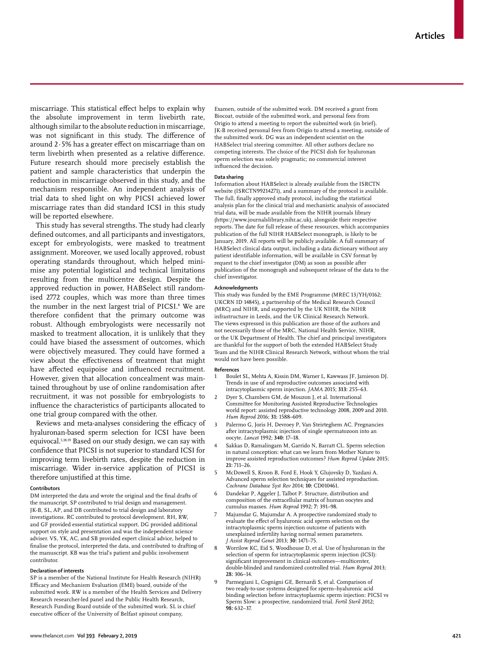miscarriage. This statistical efect helps to explain why the absolute improvement in term livebirth rate, although similar to the absolute reduction in miscarriage, was not significant in this study. The difference of around 2·5% has a greater efect on miscarriage than on term livebirth when presented as a relative diference. Future research should more precisely establish the patient and sample characteristics that underpin the reduction in miscarriage observed in this study, and the mechanism responsible. An independent analysis of trial data to shed light on why PICSI achieved lower miscarriage rates than did standard ICSI in this study will be reported elsewhere.

This study has several strengths. The study had clearly defined outcomes, and all participants and investigators, except for embryologists, were masked to treatment assignment. Moreover, we used locally approved, robust operating standards throughout, which helped minimise any potential logistical and technical limitations resulting from the multicentre design. Despite the approved reduction in power, HABSelect still randomised 2772 couples, which was more than three times the number in the next largest trial of PICSI.<sup>8</sup> We are therefore confident that the primary outcome was robust. Although embryologists were necessarily not masked to treatment allocation, it is unlikely that they could have biased the assessment of outcomes, which were objectively measured. They could have formed a view about the efectiveness of treatment that might have affected equipoise and influenced recruitment. However, given that allocation concealment was maintained throughout by use of online randomisation after recruitment, it was not possible for embryologists to influence the characteristics of participants allocated to one trial group compared with the other.

Reviews and meta-analyses considering the efficacy of hyaluronan-based sperm selection for ICSI have been equivocal.5,18,19 Based on our study design, we can say with confidence that PICSI is not superior to standard ICSI for improving term livebirth rates, despite the reduction in miscarriage. Wider in-service application of PICSI is therefore unjustified at this time.

#### **Contributors**

DM interpreted the data and wrote the original and the final drafts of the manuscript. SP contributed to trial design and management. IK-B, SL, AP, and DB contributed to trial design and laboratory investigations. RC contributed to protocol development. RH, RW, and GF provided essential statistical support. DG provided additional support on style and presentation and was the independent science adviser. VS, YK, AC, and SB provided expert clinical advice, helped to finalise the protocol, interpreted the data, and contributed to drafting of the manuscript. KB was the trial's patient and public involvement contributor.

#### **Declaration of interests**

SP is a member of the National Institute for Health Research (NIHR) Eicacy and Mechanism Evaluation (EME) board, outside of the submitted work. RW is a member of the Health Services and Delivery Research researcher-led panel and the Public Health Research, Research Funding Board outside of the submitted work. SL is chief executive officer of the University of Belfast spinout company,

Examen, outside of the submitted work. DM received a grant from Biocoat, outside of the submitted work, and personal fees from Origio to attend a meeting to report the submitted work (in brief). JK-B received personal fees from Origio to attend a meeting, outside of the submitted work. DG was an independent scientist on the HABSelect trial steering committee. All other authors declare no competing interests. The choice of the PICSI dish for hyaluronan sperm selection was solely pragmatic; no commercial interest influenced the decision.

#### **Data sharing**

Information about HABSelect is already available from the ISRCTN website (ISRCTN99214271), and a summary of the protocol is available. The full, finally approved study protocol, including the statistical analysis plan for the clinical trial and mechanistic analysis of associated trial data, will be made available from the NIHR journals library (https://www.journalslibrary.nihr.ac.uk), alongside their respective reports. The date for full release of these resources, which accompanies publication of the full NIHR HABSelect monograph, is likely to be January, 2019. All reports will be publicly available. A full summary of HABSelect clinical data output, including a data dictionary without any patient identifiable information, will be available in CSV format by request to the chief investigator (DM) as soon as possible after publication of the monograph and subsequent release of the data to the chief investigator.

#### **Acknowledgments**

This study was funded by the EME Programme (MREC 13/YH/0162; UKCRN ID 14845), a partnership of the Medical Research Council (MRC) and NIHR, and supported by the UK NIHR, the NIHR infrastructure in Leeds, and the UK Clinical Research Network. The views expressed in this publication are those of the authors and not necessarily those of the MRC, National Health Service, NIHR, or the UK Department of Health*.* The chief and principal investigators are thankful for the support of both the extended HABSelect Study Team and the NIHR Clinical Research Network, without whom the trial would not have been possible.

#### **References**

- 1 Boulet SL, Mehta A, Kissin DM, Warner L, Kawwass JF, Jamieson DJ. Trends in use of and reproductive outcomes associated with intracytoplasmic sperm injection. *JAMA* 2015; **313:** 255–63.
- 2 Dyer S, Chambers GM, de Mouzon J, et al. International Committee for Monitoring Assisted Reproductive Technologies world report: assisted reproductive technology 2008, 2009 and 2010. *Hum Reprod* 2016; **31:** 1588–609.
- 3 Palermo G, Joris H, Devroey P, Van Steirteghem AC. Pregnancies after intracytoplasmic injection of single spermatozoon into an oocyte. *Lancet* 1992; **340:** 17–18.
- Sakkas D, Ramalingam M, Garrido N, Barratt CL. Sperm selection in natural conception: what can we learn from Mother Nature to improve assisted reproduction outcomes? *Hum Reprod Update* 2015; **21:** 711–26.
- 5 McDowell S, Kroon B, Ford E, Hook Y, Glujovsky D, Yazdani A. Advanced sperm selection techniques for assisted reproduction. *Cochrane Database Syst Rev* 2014; **10:** CD010461.
- 6 Dandekar P, Aggeler J, Talbot P. Structure, distribution and composition of the extracellular matrix of human oocytes and cumulus masses. *Hum Reprod* 1992; **7:** 391–98.
- 7 Majumdar G, Majumdar A. A prospective randomized study to evaluate the efect of hyaluronic acid sperm selection on the intracytoplasmic sperm injection outcome of patients with unexplained infertility having normal semen parameters. *J Assist Reprod Genet* 2013; **30:** 1471–75.
- 8 Worrilow KC, Eid S, Woodhouse D, et al. Use of hyaluronan in the selection of sperm for intracytoplasmic sperm injection (ICSI): significant improvement in clinical outcomes—multicenter, double-blinded and randomized controlled trial. *Hum Reprod* 2013; **28:** 306–14.
- 9 Parmegiani L, Cognigni GE, Bernardi S, et al. Comparison of two ready-to-use systems designed for sperm-hyaluronic acid binding selection before intracytoplasmic sperm injection: PICSI vs Sperm Slow: a prospective, randomized trial. *Fertil Steril* 2012; **98:** 632–37.